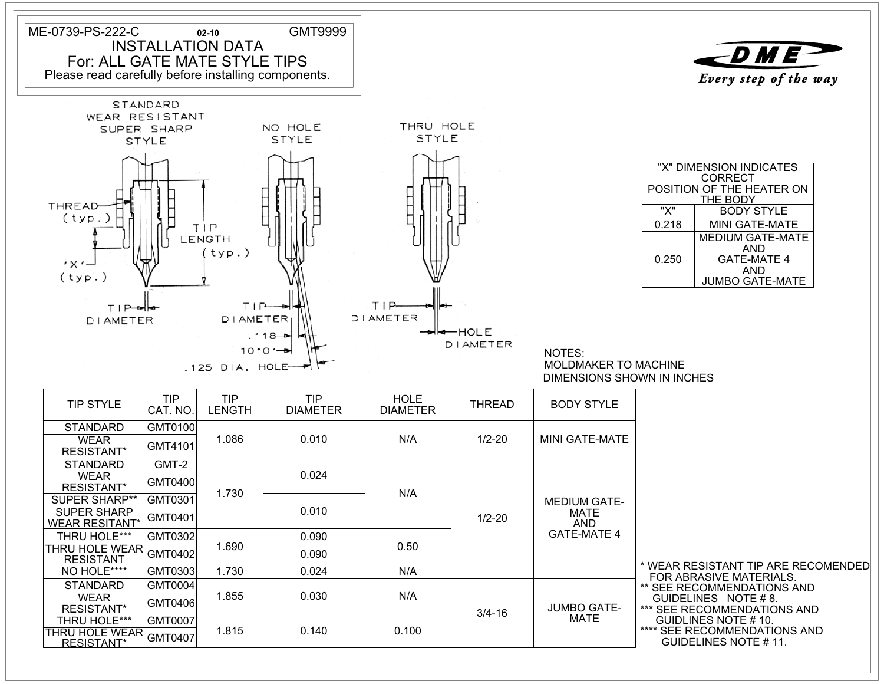